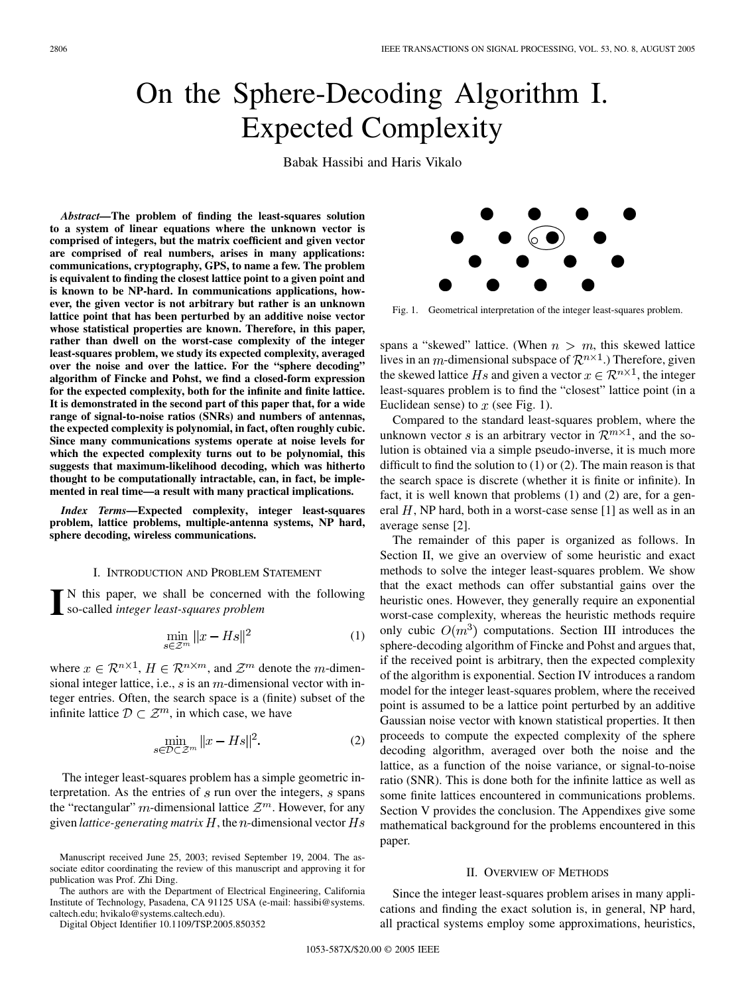# On the Sphere-Decoding Algorithm I. Expected Complexity

Babak Hassibi and Haris Vikalo

*Abstract—***The problem of finding the least-squares solution to a system of linear equations where the unknown vector is comprised of integers, but the matrix coefficient and given vector are comprised of real numbers, arises in many applications: communications, cryptography, GPS, to name a few. The problem is equivalent to finding the closest lattice point to a given point and is known to be NP-hard. In communications applications, however, the given vector is not arbitrary but rather is an unknown lattice point that has been perturbed by an additive noise vector whose statistical properties are known. Therefore, in this paper, rather than dwell on the worst-case complexity of the integer least-squares problem, we study its expected complexity, averaged over the noise and over the lattice. For the "sphere decoding" algorithm of Fincke and Pohst, we find a closed-form expression for the expected complexity, both for the infinite and finite lattice. It is demonstrated in the second part of this paper that, for a wide range of signal-to-noise ratios (SNRs) and numbers of antennas, the expected complexity is polynomial, in fact, often roughly cubic. Since many communications systems operate at noise levels for which the expected complexity turns out to be polynomial, this suggests that maximum-likelihood decoding, which was hitherto thought to be computationally intractable, can, in fact, be implemented in real time—a result with many practical implications.**

*Index Terms—***Expected complexity, integer least-squares problem, lattice problems, multiple-antenna systems, NP hard, sphere decoding, wireless communications.**

#### I. INTRODUCTION AND PROBLEM STATEMENT

**I** N this paper, we shall be concerned with the following so-called *integer least-squares problem*

$$
\min_{s \in \mathcal{F}^m} ||x - Hs||^2 \tag{1}
$$

where  $x \in \mathbb{R}^{n \times 1}$ ,  $H \in \mathbb{R}^{n \times m}$ , and  $\mathcal{Z}^m$  denote the m-dimensional integer lattice, i.e.,  $s$  is an  $m$ -dimensional vector with integer entries. Often, the search space is a (finite) subset of the infinite lattice  $D \subset \mathcal{Z}^m$ , in which case, we have

$$
\min_{s \in \mathcal{D} \subset \mathcal{Z}^m} ||x - Hs||^2. \tag{2}
$$

The integer least-squares problem has a simple geometric interpretation. As the entries of  $s$  run over the integers,  $s$  spans the "rectangular" m-dimensional lattice  $\mathcal{Z}^m$ . However, for any given *lattice-generating matrix*  $H$ , the *n*-dimensional vector  $Hs$ 

The authors are with the Department of Electrical Engineering, California Institute of Technology, Pasadena, CA 91125 USA (e-mail: hassibi@systems. caltech.edu; hvikalo@systems.caltech.edu).

Digital Object Identifier 10.1109/TSP.2005.850352



Fig. 1. Geometrical interpretation of the integer least-squares problem.

spans a "skewed" lattice. (When  $n > m$ , this skewed lattice lives in an *m*-dimensional subspace of  $\mathcal{R}^{n\times 1}$ .) Therefore, given the skewed lattice Hs and given a vector  $x \in \mathbb{R}^{n \times 1}$ , the integer least-squares problem is to find the "closest" lattice point (in a Euclidean sense) to  $x$  (see Fig. 1).

Compared to the standard least-squares problem, where the unknown vector s is an arbitrary vector in  $\mathcal{R}^{m\times 1}$ , and the solution is obtained via a simple pseudo-inverse, it is much more difficult to find the solution to (1) or (2). The main reason is that the search space is discrete (whether it is finite or infinite). In fact, it is well known that problems (1) and (2) are, for a general  $H$ , NP hard, both in a worst-case sense [[1\]](#page-12-0) as well as in an average sense [\[2](#page-12-0)].

The remainder of this paper is organized as follows. In Section II, we give an overview of some heuristic and exact methods to solve the integer least-squares problem. We show that the exact methods can offer substantial gains over the heuristic ones. However, they generally require an exponential worst-case complexity, whereas the heuristic methods require only cubic  $O(m^3)$  computations. Section III introduces the sphere-decoding algorithm of Fincke and Pohst and argues that, if the received point is arbitrary, then the expected complexity of the algorithm is exponential. Section IV introduces a random model for the integer least-squares problem, where the received point is assumed to be a lattice point perturbed by an additive Gaussian noise vector with known statistical properties. It then proceeds to compute the expected complexity of the sphere decoding algorithm, averaged over both the noise and the lattice, as a function of the noise variance, or signal-to-noise ratio (SNR). This is done both for the infinite lattice as well as some finite lattices encountered in communications problems. Section V provides the conclusion. The Appendixes give some mathematical background for the problems encountered in this paper.

# II. OVERVIEW OF METHODS

Since the integer least-squares problem arises in many applications and finding the exact solution is, in general, NP hard, all practical systems employ some approximations, heuristics,

Manuscript received June 25, 2003; revised September 19, 2004. The associate editor coordinating the review of this manuscript and approving it for publication was Prof. Zhi Ding.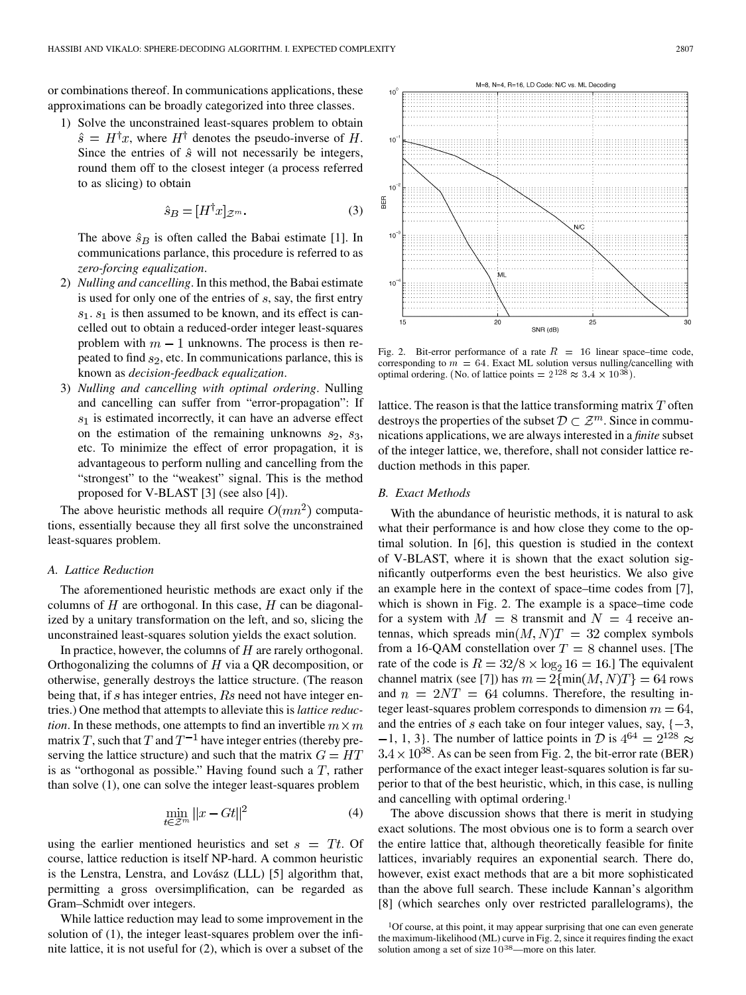or combinations thereof. In communications applications, these approximations can be broadly categorized into three classes.

1) Solve the unconstrained least-squares problem to obtain  $\hat{s} = H^{\dagger}x$ , where  $H^{\dagger}$  denotes the pseudo-inverse of H. Since the entries of  $\hat{s}$  will not necessarily be integers, round them off to the closest integer (a process referred to as slicing) to obtain

$$
\hat{s}_B = [H^\dagger x]_{\mathcal{Z}^m}.\tag{3}
$$

The above  $\hat{s}_B$  is often called the Babai estimate [[1\]](#page-12-0). In communications parlance, this procedure is referred to as *zero-forcing equalization*.

- 2) *Nulling and cancelling*. In this method, the Babai estimate is used for only one of the entries of  $s$ , say, the first entry  $s_1$ .  $s_1$  is then assumed to be known, and its effect is cancelled out to obtain a reduced-order integer least-squares problem with  $m-1$  unknowns. The process is then repeated to find  $s_2$ , etc. In communications parlance, this is known as *decision-feedback equalization*.
- 3) *Nulling and cancelling with optimal ordering*. Nulling and cancelling can suffer from "error-propagation": If  $s<sub>1</sub>$  is estimated incorrectly, it can have an adverse effect on the estimation of the remaining unknowns  $s_2$ ,  $s_3$ , etc. To minimize the effect of error propagation, it is advantageous to perform nulling and cancelling from the "strongest" to the "weakest" signal. This is the method proposed for V-BLAST [[3](#page-12-0)] (see also [\[4](#page-12-0)]).

The above heuristic methods all require  $O(mn^2)$  computations, essentially because they all first solve the unconstrained least-squares problem.

#### *A. Lattice Reduction*

The aforementioned heuristic methods are exact only if the columns of  $H$  are orthogonal. In this case,  $H$  can be diagonalized by a unitary transformation on the left, and so, slicing the unconstrained least-squares solution yields the exact solution.

In practice, however, the columns of  $H$  are rarely orthogonal. Orthogonalizing the columns of  $H$  via a QR decomposition, or otherwise, generally destroys the lattice structure. (The reason being that, if  $s$  has integer entries,  $Rs$  need not have integer entries.) One method that attempts to alleviate this is *lattice reduction*. In these methods, one attempts to find an invertible  $m \times m$ matrix T, such that T and  $T^{-1}$  have integer entries (thereby preserving the lattice structure) and such that the matrix  $G = HT$ is as "orthogonal as possible." Having found such a  $T$ , rather than solve (1), one can solve the integer least-squares problem

$$
\min_{t \in \mathcal{Z}^m} ||x - Gt||^2 \tag{4}
$$

using the earlier mentioned heuristics and set  $s = Tt$ . Of course, lattice reduction is itself NP-hard. A common heuristic is the Lenstra, Lenstra, and Lovász (LLL) [[5\]](#page-12-0) algorithm that, permitting a gross oversimplification, can be regarded as Gram–Schmidt over integers.

While lattice reduction may lead to some improvement in the solution of (1), the integer least-squares problem over the infinite lattice, it is not useful for (2), which is over a subset of the

Fig. 2. Bit-error performance of a rate  $R = 16$  linear space–time code, corresponding to  $m = 64$ . Exact ML solution versus nulling/cancelling with optimal ordering. (No. of lattice points =  $2^{128} \approx 3.4 \times 10^{38}$ ).

lattice. The reason is that the lattice transforming matrix  $T$  often destroys the properties of the subset  $D \subset \mathcal{Z}^m$ . Since in communications applications, we are always interested in a *finite* subset of the integer lattice, we, therefore, shall not consider lattice reduction methods in this paper.

#### *B. Exact Methods*

With the abundance of heuristic methods, it is natural to ask what their performance is and how close they come to the optimal solution. In [\[6](#page-12-0)], this question is studied in the context of V-BLAST, where it is shown that the exact solution significantly outperforms even the best heuristics. We also give an example here in the context of space–time codes from [\[7](#page-12-0)], which is shown in Fig. 2. The example is a space–time code for a system with  $M = 8$  transmit and  $N = 4$  receive antennas, which spreads  $min(M, N)T = 32$  complex symbols from a 16-QAM constellation over  $T = 8$  channel uses. [The rate of the code is  $R = 32/8 \times \log_2 16 = 16$ . The equivalent channel matrix (see [\[7](#page-12-0)]) has  $m = 2\{\min(M, N)T\} = 64$  rows and  $n = 2NT = 64$  columns. Therefore, the resulting integer least-squares problem corresponds to dimension  $m = 64$ , and the entries of s each take on four integer values, say,  $\{-3,$ -1, 1, 3}. The number of lattice points in D is  $4^{64} = 2^{128} \approx$  $3.4 \times 10^{38}$ . As can be seen from Fig. 2, the bit-error rate (BER) performance of the exact integer least-squares solution is far superior to that of the best heuristic, which, in this case, is nulling and cancelling with optimal ordering.1

The above discussion shows that there is merit in studying exact solutions. The most obvious one is to form a search over the entire lattice that, although theoretically feasible for finite lattices, invariably requires an exponential search. There do, however, exist exact methods that are a bit more sophisticated than the above full search. These include Kannan's algorithm [\[8](#page-12-0)] (which searches only over restricted parallelograms), the



<sup>&</sup>lt;sup>1</sup>Of course, at this point, it may appear surprising that one can even generate the maximum-likelihood (ML) curve in Fig. 2, since it requires finding the exact solution among a set of size  $10^{38}$ —more on this later.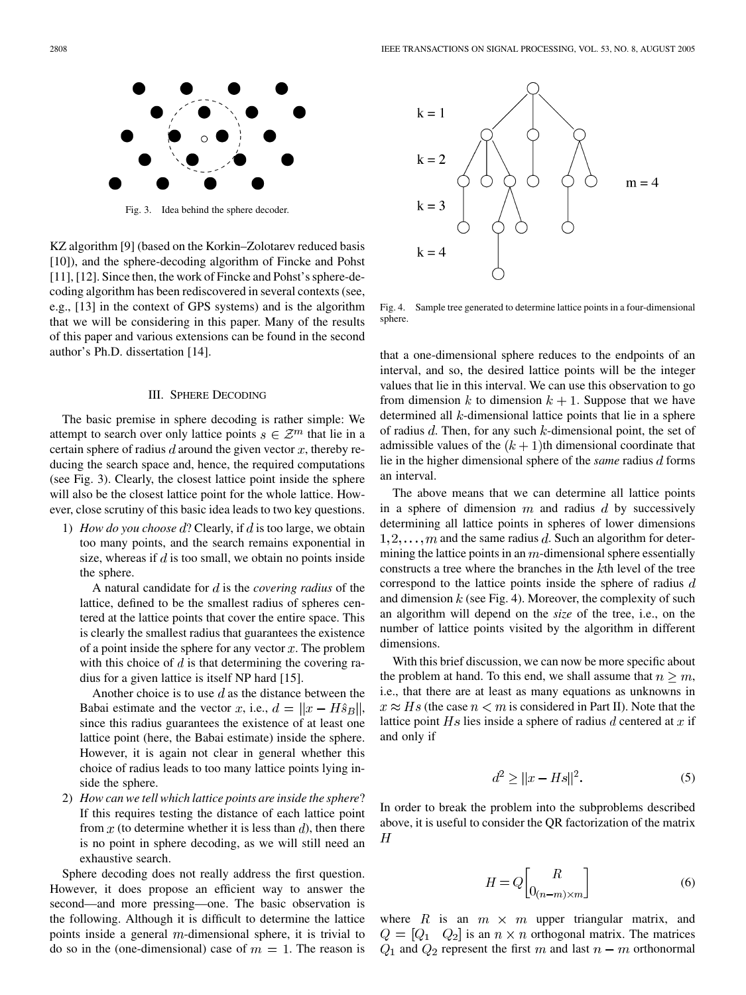

Fig. 3. Idea behind the sphere decoder.

KZ algorithm [\[9](#page-12-0)] (based on the Korkin–Zolotarev reduced basis [[10\]](#page-12-0)), and the sphere-decoding algorithm of Fincke and Pohst [[11\]](#page-12-0), [[12\]](#page-12-0). Since then, the work of Fincke and Pohst's sphere-decoding algorithm has been rediscovered in several contexts (see, e.g., [\[13\]](#page-12-0) in the context of GPS systems) and is the algorithm that we will be considering in this paper. Many of the results of this paper and various extensions can be found in the second author's Ph.D. dissertation [[14\]](#page-12-0).

# III. SPHERE DECODING

The basic premise in sphere decoding is rather simple: We attempt to search over only lattice points  $s \in \mathcal{Z}^m$  that lie in a certain sphere of radius  $d$  around the given vector  $x$ , thereby reducing the search space and, hence, the required computations (see Fig. 3). Clearly, the closest lattice point inside the sphere will also be the closest lattice point for the whole lattice. However, close scrutiny of this basic idea leads to two key questions.

1) *How do you choose*  $d$ ? Clearly, if  $d$  is too large, we obtain too many points, and the search remains exponential in size, whereas if  $d$  is too small, we obtain no points inside the sphere.

A natural candidate for  $d$  is the *covering radius* of the lattice, defined to be the smallest radius of spheres centered at the lattice points that cover the entire space. This is clearly the smallest radius that guarantees the existence of a point inside the sphere for any vector  $x$ . The problem with this choice of  $d$  is that determining the covering radius for a given lattice is itself NP hard [\[15](#page-12-0)].

Another choice is to use  $d$  as the distance between the Babai estimate and the vector x, i.e.,  $d = ||x - H\hat{s}_B||$ , since this radius guarantees the existence of at least one lattice point (here, the Babai estimate) inside the sphere. However, it is again not clear in general whether this choice of radius leads to too many lattice points lying inside the sphere.

2) *How can we tell which lattice points are inside the sphere*? If this requires testing the distance of each lattice point from  $x$  (to determine whether it is less than  $d$ ), then there is no point in sphere decoding, as we will still need an exhaustive search.

Sphere decoding does not really address the first question. However, it does propose an efficient way to answer the second—and more pressing—one. The basic observation is the following. Although it is difficult to determine the lattice points inside a general  $m$ -dimensional sphere, it is trivial to do so in the (one-dimensional) case of  $m = 1$ . The reason is



Fig. 4. Sample tree generated to determine lattice points in a four-dimensional sphere.

that a one-dimensional sphere reduces to the endpoints of an interval, and so, the desired lattice points will be the integer values that lie in this interval. We can use this observation to go from dimension k to dimension  $k + 1$ . Suppose that we have determined all  $k$ -dimensional lattice points that lie in a sphere of radius d. Then, for any such  $k$ -dimensional point, the set of admissible values of the  $(k + 1)$ th dimensional coordinate that lie in the higher dimensional sphere of the *same* radius d forms an interval.

The above means that we can determine all lattice points in a sphere of dimension  $m$  and radius  $d$  by successively determining all lattice points in spheres of lower dimensions  $1, 2, \ldots, m$  and the same radius d. Such an algorithm for determining the lattice points in an  $m$ -dimensional sphere essentially constructs a tree where the branches in the  $k$ th level of the tree correspond to the lattice points inside the sphere of radius  $d$ and dimension  $k$  (see Fig. 4). Moreover, the complexity of such an algorithm will depend on the *size* of the tree, i.e., on the number of lattice points visited by the algorithm in different dimensions.

With this brief discussion, we can now be more specific about the problem at hand. To this end, we shall assume that  $n \geq m$ , i.e., that there are at least as many equations as unknowns in  $x \approx Hs$  (the case  $n < m$  is considered in Part II). Note that the lattice point  $Hs$  lies inside a sphere of radius d centered at x if and only if

$$
d^2 \ge ||x - Hs||^2. \tag{5}
$$

In order to break the problem into the subproblems described above, it is useful to consider the QR factorization of the matrix Η

$$
H = Q \begin{bmatrix} R \\ 0_{(n-m)\times m} \end{bmatrix}
$$
 (6)

where R is an  $m \times m$  upper triangular matrix, and  $Q = [Q_1 \ Q_2]$  is an  $n \times n$  orthogonal matrix. The matrices  $Q_1$  and  $Q_2$  represent the first m and last  $n-m$  orthonormal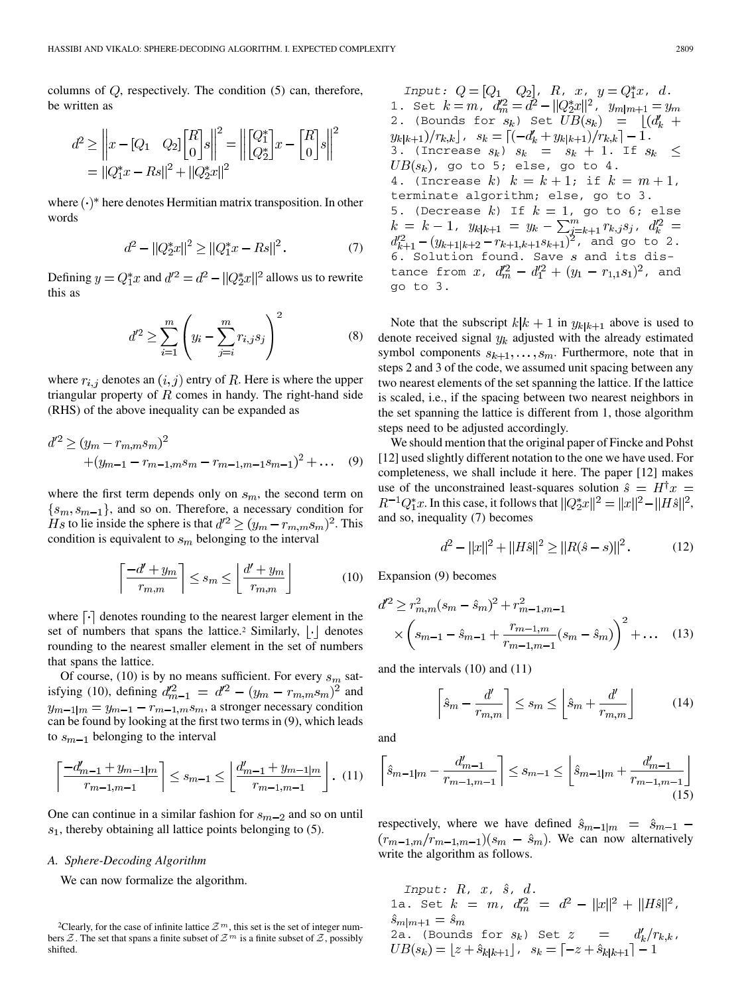columns of  $Q$ , respectively. The condition  $(5)$  can, therefore, be written as

$$
d^{2} \geq \left\|x - [Q_{1} \quad Q_{2}]\begin{bmatrix}R\\0\end{bmatrix}s\right\|^{2} = \left\|\begin{bmatrix}Q_{1}^{*}\\Q_{2}^{*}\end{bmatrix}x - \begin{bmatrix}R\\0\end{bmatrix}s\right\|^{2}
$$

$$
= ||Q_{1}^{*}x - Rs||^{2} + ||Q_{2}^{*}x||^{2}
$$

where  $(\cdot)^*$  here denotes Hermitian matrix transposition. In other words

$$
d^{2} - ||Q_{2}^{*}x||^{2} \ge ||Q_{1}^{*}x - Rs||^{2}.
$$
 (7)

Defining  $y = Q_1^*x$  and  $d'^2 = d^2 - ||Q_2^*x||^2$  allows us to rewrite this as

$$
d'^2 \ge \sum_{i=1}^m \left( y_i - \sum_{j=i}^m r_{i,j} s_j \right)^2 \tag{8}
$$

where  $r_{i,j}$  denotes an  $(i, j)$  entry of R. Here is where the upper triangular property of  $R$  comes in handy. The right-hand side (RHS) of the above inequality can be expanded as

$$
d'^{2} \ge (y_m - r_{m,m} s_m)^{2}
$$
  
+(y<sub>m-1</sub> - r<sub>m-1,m</sub>s<sub>m</sub> - r<sub>m-1,m-1</sub>s<sub>m-1</sub>)<sup>2</sup> + ... (9)

where the first term depends only on  $s_m$ , the second term on  $\{s_m, s_{m-1}\}\$ , and so on. Therefore, a necessary condition for Hs to lie inside the sphere is that  $d'^2 \ge (y_m - r_{m,m} s_m)^2$ . This condition is equivalent to  $s_m$  belonging to the interval

$$
\left\lceil \frac{-d'+y_m}{r_{m,m}} \right\rceil \le s_m \le \left\lfloor \frac{d'+y_m}{r_{m,m}} \right\rfloor \tag{10}
$$

where  $\lceil \cdot \rceil$  denotes rounding to the nearest larger element in the set of numbers that spans the lattice.<sup>2</sup> Similarly,  $\lfloor \cdot \rfloor$  denotes rounding to the nearest smaller element in the set of numbers that spans the lattice.

Of course, (10) is by no means sufficient. For every  $s_m$  satisfying (10), defining  $d_{m-1}^2 = d^2 - (y_m - r_{m,m} s_m)^2$  and  $y_{m-1|m} = y_{m-1} - r_{m-1,m}s_m$ , a stronger necessary condition can be found by looking at the first two terms in (9), which leads to  $s_{m-1}$  belonging to the interval

$$
\left[\frac{-d'_{m-1} + y_{m-1|m}}{r_{m-1,m-1}}\right] \le s_{m-1} \le \left\lfloor \frac{d'_{m-1} + y_{m-1|m}}{r_{m-1,m-1}} \right\rfloor. (11)
$$

One can continue in a similar fashion for  $s_{m-2}$  and so on until  $s_1$ , thereby obtaining all lattice points belonging to (5).

#### *A. Sphere-Decoding Algorithm*

We can now formalize the algorithm.

*Input:*  $Q = [Q_1 \ Q_2], R, x, y = Q_1^*x, d.$ 1. Set  $k = m$ ,  $d_m'^2 = d^2 - ||Q_2^*x||^2$ ,  $y_{m|m+1} = y_m$ 2. (Bounds for  $s_k$ ) Set  $UB(s_k) = |d'_k +$  $y_{k|k+1}$ / $(r_{k,k})$ ,  $s_k = \frac{(-d'_k + y_{k|k+1})}{r_{k,k}} - 1$ . 3. (Increase  $s_k$ )  $s_k = s_k + 1$ . If  $s_k \leq$  $UB(s_k)$ , go to 5; else, go to 4. 4. (Increase k)  $k = k + 1$ ; if  $k = m + 1$ , terminate algorithm; else, go to 3. 5. (Decrease  $k$ ) If  $k = 1$ , go to 6; else ,  $y_{k|k+1} = y_k - \sum_{i=k+1}^{m} r_{k,i} s_{i}$ , and go to 2. 6. Solution found. Save  $s$  and its distance from  $x$ ,  $d_m'^2 - d_1'^2 + (y_1 - r_{1,1}s_1)^2$ , and go to 3.

Note that the subscript  $k|k + 1$  in  $y_{k|k+1}$  above is used to denote received signal  $y_k$  adjusted with the already estimated symbol components  $s_{k+1}, \ldots, s_m$ . Furthermore, note that in steps 2 and 3 of the code, we assumed unit spacing between any two nearest elements of the set spanning the lattice. If the lattice is scaled, i.e., if the spacing between two nearest neighbors in the set spanning the lattice is different from 1, those algorithm steps need to be adjusted accordingly.

We should mention that the original paper of Fincke and Pohst [\[12](#page-12-0)] used slightly different notation to the one we have used. For completeness, we shall include it here. The paper [\[12](#page-12-0)] makes use of the unconstrained least-squares solution  $\hat{s} = H^{\dagger} x =$  $R^{-1}Q_1^*x$ . In this case, it follows that  $||Q_2^*x||^2 = ||x||^2 - ||H\hat{s}||^2$ , and so, inequality (7) becomes

$$
d^{2} - ||x||^{2} + ||H\hat{s}||^{2} \ge ||R(\hat{s} - s)||^{2}.
$$
 (12)

Expansion (9) becomes

$$
l'^2 \ge r_{m,m}^2 (s_m - \hat{s}_m)^2 + r_{m-1,m-1}^2
$$
  
 
$$
\times \left( s_{m-1} - \hat{s}_{m-1} + \frac{r_{m-1,m}}{r_{m-1,m-1}} (s_m - \hat{s}_m) \right)^2 + \dots (13)
$$

and the intervals (10) and (11)

$$
\left\lceil \hat{s}_m - \frac{d'}{r_{m,m}} \right\rceil \le s_m \le \left\lfloor \hat{s}_m + \frac{d'}{r_{m,m}} \right\rfloor \tag{14}
$$

and

$$
\left\lceil \hat{s}_{m-1|m} - \frac{d'_{m-1}}{r_{m-1,m-1}} \right\rceil \le s_{m-1} \le \left\lfloor \hat{s}_{m-1|m} + \frac{d'_{m-1}}{r_{m-1,m-1}} \right\rfloor \tag{15}
$$

respectively, where we have defined  $\hat{s}_{m-1|m} = \hat{s}_{m-1}$  –  $(r_{m-1,m}/r_{m-1,m-1})(s_m - \hat{s}_m)$ . We can now alternatively write the algorithm as follows.

*Input:*  $R$ ,  $x$ ,  $\hat{s}$ ,  $d$ . 1a. Set  $k = m$ ,  $d_m'^2 = d^2 - ||x||^2 + ||H\hat{s}||^2$ ,  $\hat{s}_{m|m+1} = \hat{s}_m$ 2a. (Bounds for  $s_k$ ) Set  $z = d'_k / r_{k,k}$ ,  $UB(s_k) = [z + \hat{s}_{k|k+1}], \ \ s_k = [-z + \hat{s}_{k|k+1}] - 1$ 

<sup>&</sup>lt;sup>2</sup>Clearly, for the case of infinite lattice  $\mathcal{Z}^m$ , this set is the set of integer numbers  $\mathcal Z$ . The set that spans a finite subset of  $\mathcal Z^m$  is a finite subset of  $\mathcal Z$ , possibly shifted.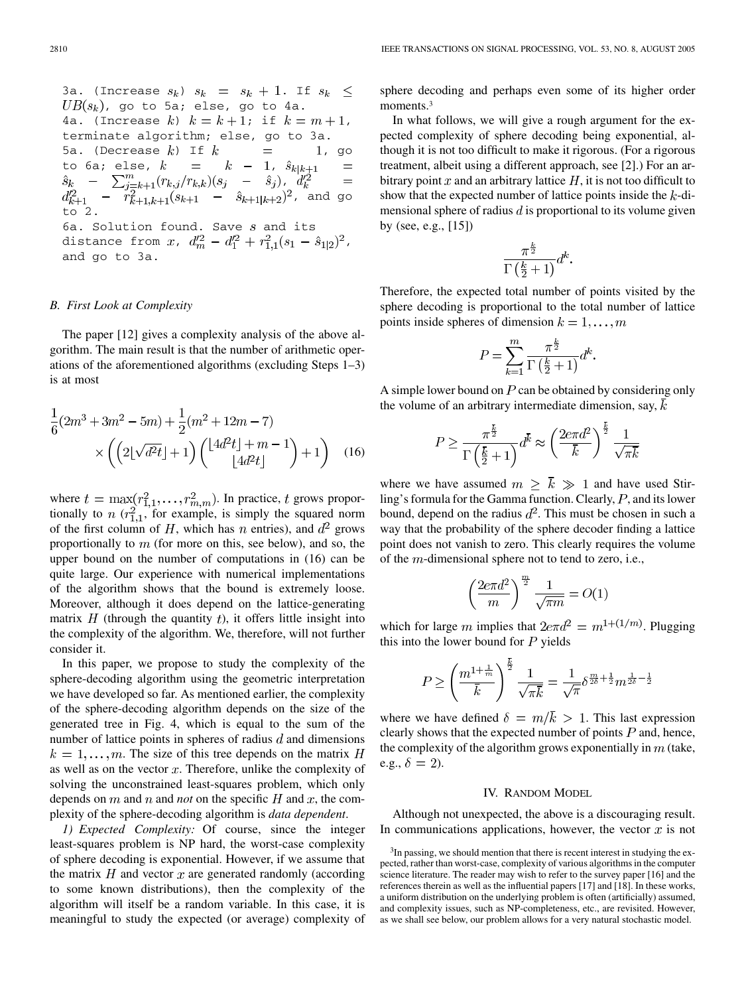3a. (Increase  $s_k$ )  $s_k = s_k + 1$ . If  $s_k \leq$  $UB(s_k)$ , go to 5a; else, go to 4a. 4a. (Increase k)  $k = k+1$ ; if  $k = m+1$ , terminate algorithm; else, go to 3a. 5a. (Decrease  $k$ ) If  $k = 1$ , go to 6a; else,  $k = k - 1$ , , , and go to 2. 6a. Solution found. Save  $s$  and its distance from x,  $d_m'^2 - d_1'^2 + r_{1,1}^2 (s_1 - \hat{s}_{1|2})^2$ , and go to 3a.

#### *B. First Look at Complexity*

The paper [[12\]](#page-12-0) gives a complexity analysis of the above algorithm. The main result is that the number of arithmetic operations of the aforementioned algorithms (excluding Steps 1–3) is at most

$$
\frac{1}{6}(2m^3 + 3m^2 - 5m) + \frac{1}{2}(m^2 + 12m - 7)
$$

$$
\times \left( \left( 2\lfloor \sqrt{d^2t} \rfloor + 1 \right) \binom{\lfloor 4d^2t \rfloor + m - 1}{\lfloor 4d^2t \rfloor} + 1 \right) \tag{16}
$$

where  $t = \max(r_{1,1}^2, \ldots, r_{m,m}^2)$ . In practice, t grows proportionally to  $n(r_{1,1}^2)$ , for example, is simply the squared norm of the first column of H, which has n entries), and  $d^2$  grows proportionally to  $m$  (for more on this, see below), and so, the upper bound on the number of computations in (16) can be quite large. Our experience with numerical implementations of the algorithm shows that the bound is extremely loose. Moreover, although it does depend on the lattice-generating matrix  $H$  (through the quantity  $t$ ), it offers little insight into the complexity of the algorithm. We, therefore, will not further consider it.

In this paper, we propose to study the complexity of the sphere-decoding algorithm using the geometric interpretation we have developed so far. As mentioned earlier, the complexity of the sphere-decoding algorithm depends on the size of the generated tree in Fig. 4, which is equal to the sum of the number of lattice points in spheres of radius  $d$  and dimensions  $k = 1, \ldots, m$ . The size of this tree depends on the matrix H as well as on the vector  $x$ . Therefore, unlike the complexity of solving the unconstrained least-squares problem, which only depends on m and n and not on the specific H and x, the complexity of the sphere-decoding algorithm is *data dependent*.

*1) Expected Complexity:* Of course, since the integer least-squares problem is NP hard, the worst-case complexity of sphere decoding is exponential. However, if we assume that the matrix  $H$  and vector  $x$  are generated randomly (according to some known distributions), then the complexity of the algorithm will itself be a random variable. In this case, it is meaningful to study the expected (or average) complexity of

sphere decoding and perhaps even some of its higher order moments.3

In what follows, we will give a rough argument for the expected complexity of sphere decoding being exponential, although it is not too difficult to make it rigorous. (For a rigorous treatment, albeit using a different approach, see [[2\]](#page-12-0).) For an arbitrary point  $x$  and an arbitrary lattice  $H$ , it is not too difficult to show that the expected number of lattice points inside the  $k$ -dimensional sphere of radius  $d$  is proportional to its volume given by (see, e.g., [\[15](#page-12-0)])

$$
\frac{\pi^{\frac{k}{2}}}{\Gamma(\frac{k}{2}+1)}d^k.
$$

Therefore, the expected total number of points visited by the sphere decoding is proportional to the total number of lattice points inside spheres of dimension  $k = 1, \ldots, m$ 

$$
P = \sum_{k=1}^{m} \frac{\pi^{\frac{k}{2}}}{\Gamma(\frac{k}{2} + 1)} d^k.
$$

A simple lower bound on  $P$  can be obtained by considering only the volume of an arbitrary intermediate dimension, say,  $\bar{k}$ 

$$
P \ge \frac{\pi^{\frac{\overline{k}}{2}}}{\Gamma\left(\frac{\overline{k}}{2} + 1\right)} d^{\overline{k}} \approx \left(\frac{2e\pi d^2}{\overline{k}}\right)^{\frac{\overline{k}}{2}} \frac{1}{\sqrt{\pi\overline{k}}}
$$

where we have assumed  $m \geq \bar{k} \gg 1$  and have used Stirling's formula for the Gamma function. Clearly,  $P$ , and its lower bound, depend on the radius  $d^2$ . This must be chosen in such a way that the probability of the sphere decoder finding a lattice point does not vanish to zero. This clearly requires the volume of the  $m$ -dimensional sphere not to tend to zero, i.e.,

$$
\left(\frac{2e\pi d^2}{m}\right)^{\frac{m}{2}}\frac{1}{\sqrt{\pi m}} = O(1)
$$

which for large m implies that  $2e\pi d^2 = m^{1+(1/m)}$ . Plugging this into the lower bound for  $P$  yields

$$
P \ge \left(\frac{m^{1+\frac{1}{m}}}{\bar{k}}\right)^{\frac{k}{2}} \frac{1}{\sqrt{\pi \bar{k}}} = \frac{1}{\sqrt{\pi}} \delta^{\frac{m}{2\delta} + \frac{1}{2}} m^{\frac{1}{2\delta} - \frac{1}{2}}
$$

where we have defined  $\delta = m/\bar{k} > 1$ . This last expression clearly shows that the expected number of points  $P$  and, hence, the complexity of the algorithm grows exponentially in  $m$  (take, e.g.,  $\delta = 2$ ).

# IV. RANDOM MODEL

Although not unexpected, the above is a discouraging result. In communications applications, however, the vector  $x$  is not

<sup>&</sup>lt;sup>3</sup>In passing, we should mention that there is recent interest in studying the expected, rather than worst-case, complexity of various algorithms in the computer science literature. The reader may wish to refer to the survey paper [\[16](#page-12-0)] and the references therein as well as the influential papers [\[17](#page-12-0)] and [[18\]](#page-12-0). In these works, a uniform distribution on the underlying problem is often (artificially) assumed, and complexity issues, such as NP-completeness, etc., are revisited. However, as we shall see below, our problem allows for a very natural stochastic model.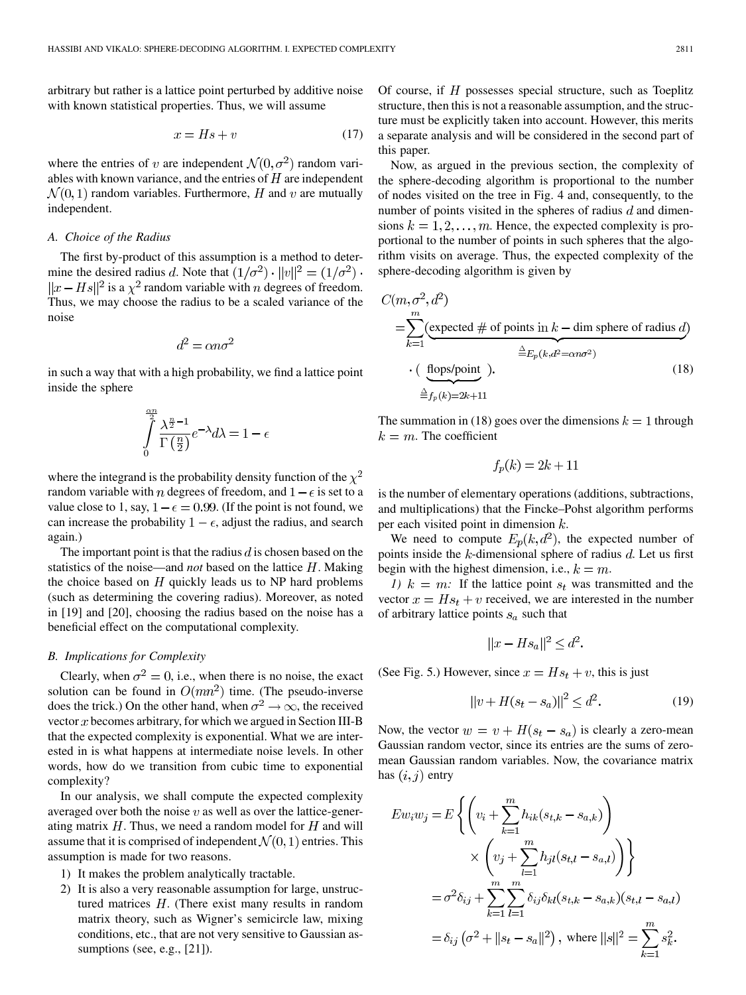arbitrary but rather is a lattice point perturbed by additive noise with known statistical properties. Thus, we will assume

$$
x = Hs + v \tag{17}
$$

where the entries of v are independent  $\mathcal{N}(0, \sigma^2)$  random variables with known variance, and the entries of  $H$  are independent  $\mathcal{N}(0,1)$  random variables. Furthermore, H and v are mutually independent.

## *A. Choice of the Radius*

The first by-product of this assumption is a method to determine the desired radius d. Note that  $(1/\sigma^2) \cdot ||v||^2 = (1/\sigma^2) \cdot$  $||x - Hs||^2$  is a  $\chi^2$  random variable with *n* degrees of freedom. Thus, we may choose the radius to be a scaled variance of the noise

$$
d^2 = \alpha n \sigma^2
$$

in such a way that with a high probability, we find a lattice point inside the sphere

$$
\int_{0}^{\frac{\alpha n}{2}} \frac{\lambda^{\frac{n}{2}-1}}{\Gamma(\frac{n}{2})} e^{-\lambda} d\lambda = 1 - \epsilon
$$

where the integrand is the probability density function of the  $\chi^2$ random variable with n degrees of freedom, and  $1 - \epsilon$  is set to a value close to 1, say,  $1 - \epsilon = 0.99$ . (If the point is not found, we can increase the probability  $1 - \epsilon$ , adjust the radius, and search again.)

The important point is that the radius  $d$  is chosen based on the statistics of the noise—and *not* based on the lattice  $H$ . Making the choice based on  $H$  quickly leads us to NP hard problems (such as determining the covering radius). Moreover, as noted in [\[19](#page-12-0)] and [\[20](#page-12-0)], choosing the radius based on the noise has a beneficial effect on the computational complexity.

# *B. Implications for Complexity*

Clearly, when  $\sigma^2 = 0$ , i.e., when there is no noise, the exact solution can be found in  $O(mn^2)$  time. (The pseudo-inverse does the trick.) On the other hand, when  $\sigma^2 \to \infty$ , the received vector  $x$  becomes arbitrary, for which we argued in Section III-B that the expected complexity is exponential. What we are interested in is what happens at intermediate noise levels. In other words, how do we transition from cubic time to exponential complexity?

In our analysis, we shall compute the expected complexity averaged over both the noise  $v$  as well as over the lattice-generating matrix  $H$ . Thus, we need a random model for  $H$  and will assume that it is comprised of independent  $\mathcal{N}(0, 1)$  entries. This assumption is made for two reasons.

- 1) It makes the problem analytically tractable.
- 2) It is also a very reasonable assumption for large, unstructured matrices  $H$ . (There exist many results in random matrix theory, such as Wigner's semicircle law, mixing conditions, etc., that are not very sensitive to Gaussian as-sumptions (see, e.g., [\[21](#page-12-0)]).

Of course, if  $H$  possesses special structure, such as Toeplitz structure, then this is not a reasonable assumption, and the structure must be explicitly taken into account. However, this merits a separate analysis and will be considered in the second part of this paper.

Now, as argued in the previous section, the complexity of the sphere-decoding algorithm is proportional to the number of nodes visited on the tree in Fig. 4 and, consequently, to the number of points visited in the spheres of radius  $d$  and dimensions  $k = 1, 2, \dots, m$ . Hence, the expected complexity is proportional to the number of points in such spheres that the algorithm visits on average. Thus, the expected complexity of the sphere-decoding algorithm is given by

$$
C(m, \sigma^2, d^2)
$$
  
= 
$$
\sum_{k=1}^{m} (\text{expected} \neq \text{of points in } k-\text{dim sphere of radius } d)
$$
  

$$
\triangleq E_p(k, d^2 = \alpha n \sigma^2)
$$
  
. (18)  

$$
\triangleq f_p(k) = 2k+11
$$

The summation in (18) goes over the dimensions  $k = 1$  through  $k = m$ . The coefficient

$$
f_p(k) = 2k + 11
$$

is the number of elementary operations (additions, subtractions, and multiplications) that the Fincke–Pohst algorithm performs per each visited point in dimension  $k$ .

We need to compute  $E_p(k, d^2)$ , the expected number of points inside the  $k$ -dimensional sphere of radius  $d$ . Let us first begin with the highest dimension, i.e.,  $k = m$ .

*1)*  $k = m$ : If the lattice point  $s_t$  was transmitted and the vector  $x = Hs_t + v$  received, we are interested in the number of arbitrary lattice points  $s_a$  such that

$$
||x - Hs_a||^2 \le d^2.
$$

(See Fig. 5.) However, since  $x = Hs_t + v$ , this is just

$$
||v + H(s_t - s_a)||^2 \le d^2.
$$
 (19)

Now, the vector  $w = v + H(s_t - s_a)$  is clearly a zero-mean Gaussian random vector, since its entries are the sums of zeromean Gaussian random variables. Now, the covariance matrix has  $(i, j)$  entry

$$
Ew_i w_j = E\left\{ \left( v_i + \sum_{k=1}^m h_{ik}(s_{t,k} - s_{a,k}) \right) \times \left( v_j + \sum_{l=1}^m h_{jl}(s_{t,l} - s_{a,l}) \right) \right\}
$$
  
=  $\sigma^2 \delta_{ij} + \sum_{k=1}^m \sum_{l=1}^m \delta_{ij} \delta_{kl}(s_{t,k} - s_{a,k})(s_{t,l} - s_{a,l})$   
=  $\delta_{ij} (\sigma^2 + ||s_t - s_a||^2)$ , where  $||s||^2 = \sum_{k=1}^m s_k^2$ .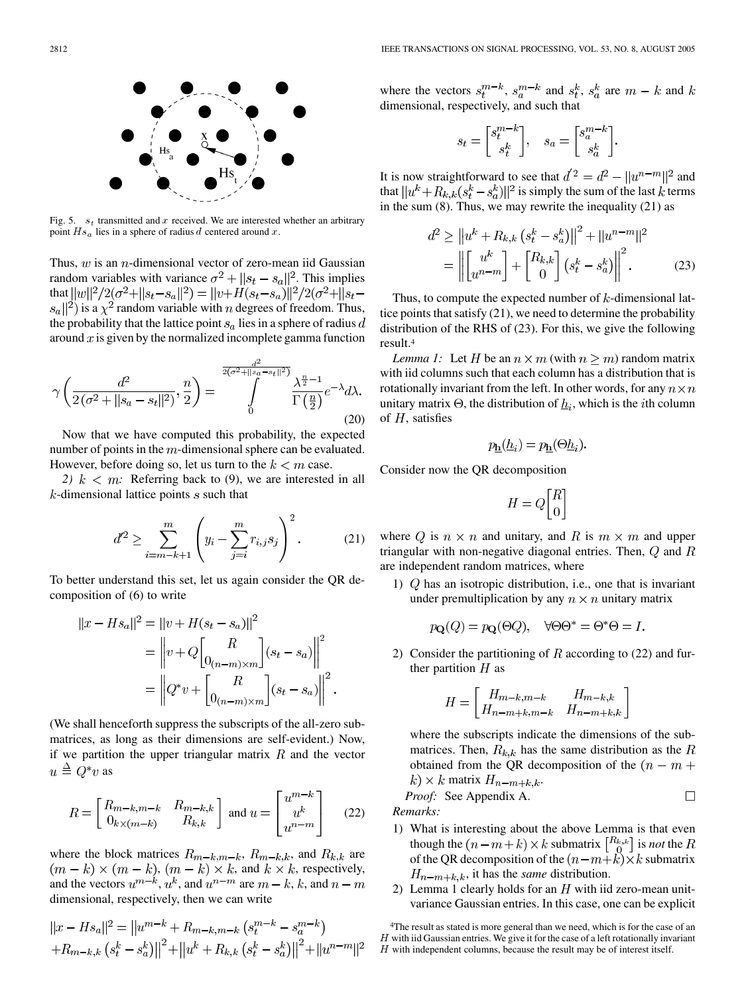

Fig. 5.  $s_t$  transmitted and x received. We are interested whether an arbitrary point  $Hs_a$  lies in a sphere of radius d centered around x.

Thus,  $w$  is an  $n$ -dimensional vector of zero-mean iid Gaussian random variables with variance  $\sigma^2 + ||s_t - s_a||^2$ . This implies that  $||w||^2/2(\sigma^2+||s_t-s_a||^2)=||v+H(s_t-s_a)||^2/2(\sigma^2+||s_t$  $s_a||^2$ ) is a  $\chi^2$  random variable with n degrees of freedom. Thus, the probability that the lattice point  $s_a$  lies in a sphere of radius  $d$ around  $x$  is given by the normalized incomplete gamma function

$$
\gamma \left( \frac{d^2}{2(\sigma^2 + ||s_a - s_t||^2)}, \frac{n}{2} \right) = \int_0^{\frac{d^2}{2(\sigma^2 + ||s_a - s_t||^2)}} \frac{\lambda^{\frac{n}{2} - 1}}{\Gamma(\frac{n}{2})} e^{-\lambda} d\lambda. \tag{20}
$$

Now that we have computed this probability, the expected number of points in the  $m$ -dimensional sphere can be evaluated. However, before doing so, let us turn to the  $k < m$  case.

2)  $k < m$ : Referring back to (9), we are interested in all  $k$ -dimensional lattice points  $s$  such that

$$
d^{2} \ge \sum_{i=m-k+1}^{m} \left( y_{i} - \sum_{j=i}^{m} r_{i,j} s_{j} \right)^{2}.
$$
 (21)

To better understand this set, let us again consider the QR decomposition of (6) to write

$$
||x - Hs_a||^2 = ||v + H(s_t - s_a)||^2
$$
  
=  $||v + Q \begin{bmatrix} R \\ 0_{(n-m)\times m} \end{bmatrix} (s_t - s_a) ||^2$   
=  $||Q^*v + \begin{bmatrix} R \\ 0_{(n-m)\times m} \end{bmatrix} (s_t - s_a) ||^2$ .

(We shall henceforth suppress the subscripts of the all-zero submatrices, as long as their dimensions are self-evident.) Now, if we partition the upper triangular matrix  $R$  and the vector  $u \triangleq Q^*v$  as

$$
R = \begin{bmatrix} R_{m-k,m-k} & R_{m-k,k} \\ 0_{k \times (m-k)} & R_{k,k} \end{bmatrix} \text{ and } u = \begin{bmatrix} u^{m-k} \\ u^k \\ u^{n-m} \end{bmatrix}
$$
 (22)

where the block matrices  $R_{m-k,m-k}$ ,  $R_{m-k,k}$ , and  $R_{k,k}$  are  $(m - k) \times (m - k)$ ,  $(m - k) \times k$ , and  $k \times k$ , respectively, and the vectors  $u^{m-k}$ ,  $u^k$ , and  $u^{n-m}$  are  $m-k$ , k, and  $n-m$ dimensional, respectively, then we can write

$$
||x - Hs_a||^2 = ||u^{m-k} + R_{m-k,m-k} (s_t^{m-k} - s_a^{m-k})
$$
  
+ $R_{m-k,k} (s_t^k - s_a^k) ||^2 + ||u^k + R_{k,k} (s_t^k - s_a^k) ||^2 + ||u^{n-m}||^2$ 

where the vectors  $s_t^{m-k}$ ,  $s_a^{m-k}$  and  $s_t^k$ ,  $s_a^k$  are  $m-k$  and  $k$ dimensional, respectively, and such that

$$
s_t = \begin{bmatrix} s_t^{m-k} \\ s_t^k \end{bmatrix}, \quad s_a = \begin{bmatrix} s_a^{m-k} \\ s_a^k \end{bmatrix}
$$

It is now straightforward to see that  $d^2 = d^2 - ||u^{n-m}||^2$  and that  $||u^k + R_{k,k}(s_t^k - s_a^k)||^2$  is simply the sum of the last k terms in the sum (8). Thus, we may rewrite the inequality (21) as

$$
d^{2} \geq ||u^{k} + R_{k,k} (s_{t}^{k} - s_{a}^{k})||^{2} + ||u^{n-m}||^{2}
$$
  
= 
$$
||\begin{bmatrix} u^{k} \\ u^{n-m} \end{bmatrix} + \begin{bmatrix} R_{k,k} \\ 0 \end{bmatrix} (s_{t}^{k} - s_{a}^{k})||^{2}.
$$
 (23)

 $\ddot{\phantom{0}}$ 

Thus, to compute the expected number of  $k$ -dimensional lattice points that satisfy (21), we need to determine the probability distribution of the RHS of (23). For this, we give the following result.4

*Lemma 1:* Let H be an  $n \times m$  (with  $n \ge m$ ) random matrix with iid columns such that each column has a distribution that is rotationally invariant from the left. In other words, for any  $n \times n$ unitary matrix  $\Theta$ , the distribution of  $h_i$ , which is the *i*th column of  $H$ , satisfies

$$
p_{\underline{\mathbf{h}}}(\underline{h}_i) = p_{\underline{\mathbf{h}}}(\Theta \underline{h}_i).
$$

Consider now the QR decomposition

$$
H = Q \begin{bmatrix} R \\ 0 \end{bmatrix}
$$

where Q is  $n \times n$  and unitary, and R is  $m \times m$  and upper triangular with non-negative diagonal entries. Then,  $Q$  and  $R$ are independent random matrices, where

1)  $Q$  has an isotropic distribution, i.e., one that is invariant under premultiplication by any  $n \times n$  unitary matrix

$$
p_{\mathbf{Q}}(Q) = p_{\mathbf{Q}}(\Theta Q), \quad \forall \Theta \Theta^* = \Theta^* \Theta = I.
$$

2) Consider the partitioning of  $R$  according to (22) and further partition  $H$  as

$$
H = \begin{bmatrix} H_{m-k,m-k} & H_{m-k,k} \\ H_{n-m+k,m-k} & H_{n-m+k,k} \end{bmatrix}
$$

where the subscripts indicate the dimensions of the submatrices. Then,  $R_{k,k}$  has the same distribution as the R obtained from the QR decomposition of the  $(n - m +$  $k) \times k$  matrix  $H_{n-m+k,k}$ .

 $\Box$ 

*Proof:* See Appendix A. *Remarks:*

- 1) What is interesting about the above Lemma is that even though the  $(n-m+k) \times k$  submatrix  $\begin{bmatrix} R_{k,k} \\ 0 \end{bmatrix}$  is *not* the R of the QR decomposition of the  $(n-m+\tilde{k})\times k$  submatrix  $H_{n-m+k,k}$ , it has the *same* distribution.
- 2) Lemma 1 clearly holds for an  $H$  with iid zero-mean unitvariance Gaussian entries. In this case, one can be explicit

4The result as stated is more general than we need, which is for the case of an  $H$  with iid Gaussian entries. We give it for the case of a left rotationally invariant H with independent columns, because the result may be of interest itself.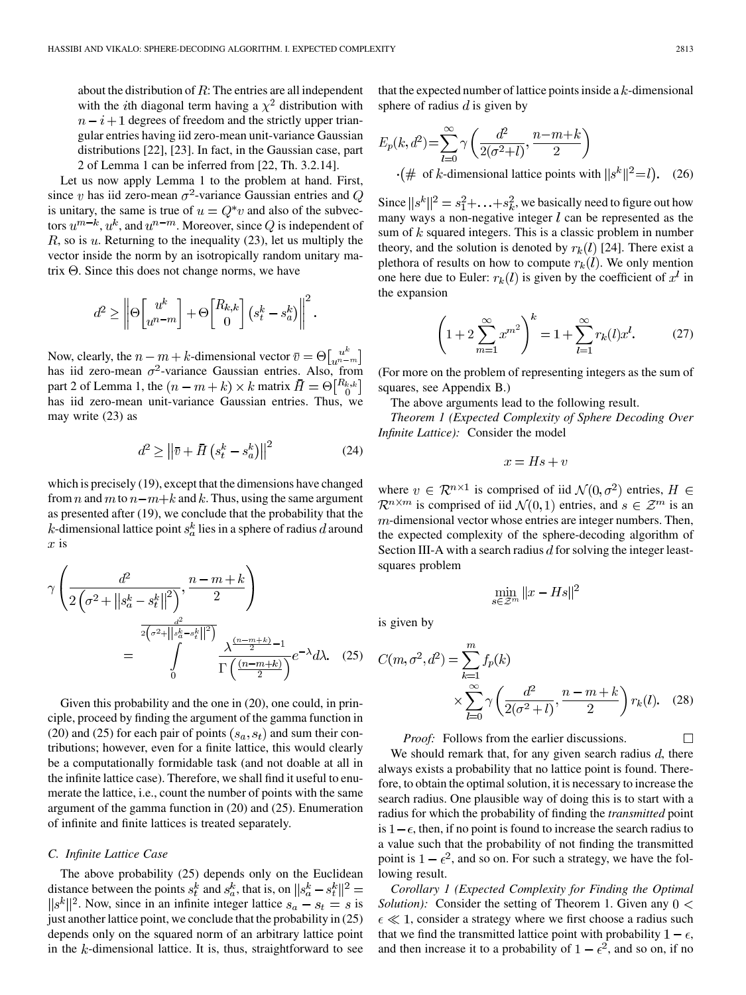about the distribution of  $R$ : The entries are all independent with the *i*th diagonal term having a  $\chi^2$  distribution with  $n-i+1$  degrees of freedom and the strictly upper triangular entries having iid zero-mean unit-variance Gaussian distributions [\[22](#page-12-0)], [[23\]](#page-12-0). In fact, in the Gaussian case, part 2 of Lemma 1 can be inferred from [[22](#page-12-0), Th. 3.2.14].

Let us now apply Lemma 1 to the problem at hand. First, since v has iid zero-mean  $\sigma^2$ -variance Gaussian entries and Q is unitary, the same is true of  $u = Q^*v$  and also of the subvectors  $u^{m-k}$ ,  $u^k$ , and  $u^{n-m}$ . Moreover, since Q is independent of  $R$ , so is  $u$ . Returning to the inequality (23), let us multiply the vector inside the norm by an isotropically random unitary matrix  $\Theta$ . Since this does not change norms, we have

$$
d^{2} \geq \left\| \Theta \begin{bmatrix} u^{k} \\ u^{n-m} \end{bmatrix} + \Theta \begin{bmatrix} R_{k,k} \\ 0 \end{bmatrix} \left( s_{t}^{k} - s_{a}^{k} \right) \right\|^{2}.
$$

Now, clearly, the  $n-m+k$ -dimensional vector has iid zero-mean  $\sigma^2$ -variance Gaussian entries. Also, from part 2 of Lemma 1, the  $(n - m + k) \times k$  matrix  $\bar{H} = \Theta\begin{bmatrix} R_{k,k} \\ 0 \end{bmatrix}$ has iid zero-mean unit-variance Gaussian entries. Thus, we may write (23) as

$$
d^2 \ge \left\| \bar{v} + \bar{H} \left( s_t^k - s_a^k \right) \right\|^2 \tag{24}
$$

which is precisely (19), except that the dimensions have changed from n and m to  $n-m+k$  and k. Thus, using the same argument as presented after (19), we conclude that the probability that the k-dimensional lattice point  $s_a^k$  lies in a sphere of radius d around  $x$  is

$$
\gamma \left( \frac{d^2}{2\left(\sigma^2 + \left\| s_a^k - s_t^k \right\|^2\right)}, \frac{n - m + k}{2} \right)
$$

$$
= \int_0^{\frac{d^2}{2\left(\sigma^2 + \left\| s_a^k - s_t^k \right\|^2\right)}} \frac{\lambda^{\frac{(n - m + k)}{2} - 1}}{\Gamma\left(\frac{(n - m + k)}{2}\right)} e^{-\lambda} d\lambda. \quad (25)
$$

Given this probability and the one in (20), one could, in principle, proceed by finding the argument of the gamma function in (20) and (25) for each pair of points  $(s_a, s_t)$  and sum their contributions; however, even for a finite lattice, this would clearly be a computationally formidable task (and not doable at all in the infinite lattice case). Therefore, we shall find it useful to enumerate the lattice, i.e., count the number of points with the same argument of the gamma function in (20) and (25). Enumeration of infinite and finite lattices is treated separately.

### *C. Infinite Lattice Case*

The above probability (25) depends only on the Euclidean distance between the points  $s_t^k$  and  $s_a^k$ , that is, on  $||s_a^k - s_t^k||^2 =$  $||s^k||^2$ . Now, since in an infinite integer lattice  $s_a - s_t = s$  is just another lattice point, we conclude that the probability in (25) depends only on the squared norm of an arbitrary lattice point in the  $k$ -dimensional lattice. It is, thus, straightforward to see that the expected number of lattice points inside a  $k$ -dimensional sphere of radius  $d$  is given by

$$
E_p(k, d^2) = \sum_{l=0}^{\infty} \gamma \left( \frac{d^2}{2(\sigma^2 + l)}, \frac{n - m + k}{2} \right)
$$
  
 
$$
\cdot \left( \# \text{ of } k\text{-dimensional lattice points with } ||s^k||^2 = l \right). \quad (26)
$$

Since  $||s^k||^2 = s_1^2 + \ldots + s_k^2$ , we basically need to figure out how many ways a non-negative integer  $l$  can be represented as the sum of  $k$  squared integers. This is a classic problem in number theory, and the solution is denoted by  $r_k(l)$  [[24\]](#page-12-0). There exist a plethora of results on how to compute  $r_k(l)$ . We only mention one here due to Euler:  $r_k(l)$  is given by the coefficient of  $x^l$  in the expansion

$$
\left(1+2\sum_{m=1}^{\infty}x^{m^2}\right)^k = 1 + \sum_{l=1}^{\infty}r_k(l)x^l.
$$
 (27)

(For more on the problem of representing integers as the sum of squares, see Appendix B.)

The above arguments lead to the following result.

*Theorem 1 (Expected Complexity of Sphere Decoding Over Infinite Lattice):* Consider the model

$$
x = Hs + v
$$

where  $v \in \mathbb{R}^{n \times 1}$  is comprised of iid  $\mathcal{N}(0, \sigma^2)$  entries,  $H \in$  $\mathcal{R}^{n \times m}$  is comprised of iid  $\mathcal{N}(0,1)$  entries, and  $s \in \mathcal{Z}^m$  is an  $m$ -dimensional vector whose entries are integer numbers. Then, the expected complexity of the sphere-decoding algorithm of Section III-A with a search radius  $d$  for solving the integer leastsquares problem

$$
\min_{s \in \mathcal{Z}^m} ||x - Hs||^2
$$

is given by

$$
C(m, \sigma^2, d^2) = \sum_{k=1}^{m} f_p(k)
$$
  
 
$$
\times \sum_{l=0}^{\infty} \gamma \left( \frac{d^2}{2(\sigma^2 + l)}, \frac{n - m + k}{2} \right) r_k(l). \quad (28)
$$

*Proof:* Follows from the earlier discussions.  $\Box$ We should remark that, for any given search radius  $d$ , there

always exists a probability that no lattice point is found. Therefore, to obtain the optimal solution, it is necessary to increase the search radius. One plausible way of doing this is to start with a radius for which the probability of finding the *transmitted* point is  $1 - \epsilon$ , then, if no point is found to increase the search radius to a value such that the probability of not finding the transmitted point is  $1 - \epsilon^2$ , and so on. For such a strategy, we have the following result.

*Corollary 1 (Expected Complexity for Finding the Optimal Solution):* Consider the setting of Theorem 1. Given any  $0 <$  $\epsilon \ll 1$ , consider a strategy where we first choose a radius such that we find the transmitted lattice point with probability  $1 - \epsilon$ , and then increase it to a probability of  $1 - \epsilon^2$ , and so on, if no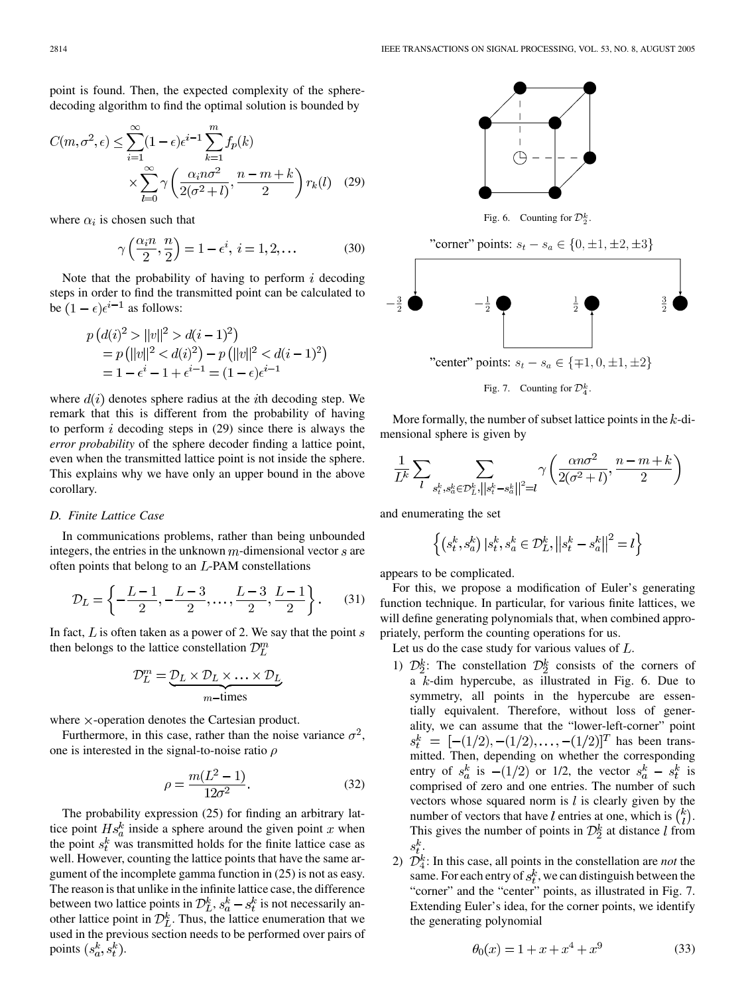point is found. Then, the expected complexity of the spheredecoding algorithm to find the optimal solution is bounded by

$$
C(m, \sigma^2, \epsilon) \le \sum_{i=1}^{\infty} (1 - \epsilon) \epsilon^{i-1} \sum_{k=1}^{m} f_p(k)
$$

$$
\times \sum_{l=0}^{\infty} \gamma \left( \frac{\alpha_i n \sigma^2}{2(\sigma^2 + l)}, \frac{n - m + k}{2} \right) r_k(l) \quad (29)
$$

where  $\alpha_i$  is chosen such that

$$
\gamma\left(\frac{\alpha_i n}{2}, \frac{n}{2}\right) = 1 - \epsilon^i, \ i = 1, 2, \dots \tag{30}
$$

Note that the probability of having to perform  $i$  decoding steps in order to find the transmitted point can be calculated to be  $(1 - \epsilon)\epsilon^{i-1}$  as follows:

$$
p\left(\frac{d(i)^2 > ||v||^2 > d(i-1)^2\right)}{p\left(\frac{||v||^2 < d(i)^2\right) - p\left(\frac{||v||^2 < d(i-1)^2\right)}{p\left(\frac{||v||^2 < d(i-1)^2\right)}}
$$
\n
$$
= 1 - \epsilon^i - 1 + \epsilon^{i-1} = (1 - \epsilon)\epsilon^{i-1}
$$

where  $d(i)$  denotes sphere radius at the *i*th decoding step. We remark that this is different from the probability of having to perform  $i$  decoding steps in (29) since there is always the *error probability* of the sphere decoder finding a lattice point, even when the transmitted lattice point is not inside the sphere. This explains why we have only an upper bound in the above corollary.

# *D. Finite Lattice Case*

In communications problems, rather than being unbounded integers, the entries in the unknown  $m$ -dimensional vector  $s$  are often points that belong to an  $L$ -PAM constellations

$$
\mathcal{D}_L = \left\{ -\frac{L-1}{2}, -\frac{L-3}{2}, \dots, \frac{L-3}{2}, \frac{L-1}{2} \right\}.
$$
 (31)

In fact,  $L$  is often taken as a power of 2. We say that the point  $s$ then belongs to the lattice constellation  $\mathcal{D}_{L}^{m}$ 

$$
\mathcal{D}_L^m = \underbrace{\mathcal{D}_L \times \mathcal{D}_L \times \ldots \times \mathcal{D}_L}_{m-times}
$$

where  $\times$ -operation denotes the Cartesian product.

Furthermore, in this case, rather than the noise variance  $\sigma^2$ , one is interested in the signal-to-noise ratio  $\rho$ 

$$
\rho = \frac{m(L^2 - 1)}{12\sigma^2}.
$$
\n(32)

The probability expression (25) for finding an arbitrary lattice point  $Hs_a^k$  inside a sphere around the given point x when the point  $s_t^k$  was transmitted holds for the finite lattice case as well. However, counting the lattice points that have the same argument of the incomplete gamma function in (25) is not as easy. The reason is that unlike in the infinite lattice case, the difference between two lattice points in  $\mathcal{D}_{L}^{k}$ ,  $s_{a}^{k} - s_{t}^{k}$  is not necessarily another lattice point in  $\mathcal{D}_{L}^{k}$ . Thus, the lattice enumeration that we used in the previous section needs to be performed over pairs of points  $(s_a^k, s_t^k)$ .



Fig. 7. Counting for  $\mathcal{D}_4^k$ .

More formally, the number of subset lattice points in the  $k$ -dimensional sphere is given by

$$
\frac{1}{L^k} \sum_{l} \sum_{s_t^k, s_a^k \in \mathcal{D}_L^k, ||s_t^k - s_a^k||^2 = l} \gamma\left(\frac{\alpha n \sigma^2}{2(\sigma^2 + l)}, \frac{n - m + k}{2}\right)
$$

and enumerating the set

$$
\left\{ \left( s_t^k, s_a^k \right) \left| s_t^k, s_a^k \in \mathcal{D}_L^k, \left\| s_t^k - s_a^k \right\|^2 = l \right\}
$$

appears to be complicated.

For this, we propose a modification of Euler's generating function technique. In particular, for various finite lattices, we will define generating polynomials that, when combined appropriately, perform the counting operations for us.

Let us do the case study for various values of  $L$ .

- 1)  $\mathcal{D}_2^k$ : The constellation  $\mathcal{D}_2^k$  consists of the corners of a  $k$ -dim hypercube, as illustrated in Fig. 6. Due to symmetry, all points in the hypercube are essentially equivalent. Therefore, without loss of generality, we can assume that the "lower-left-corner" point  $s_t^k = [-(1/2), -(1/2), \ldots, -(1/2)]^T$  has been transmitted. Then, depending on whether the corresponding entry of  $s_a^k$  is  $-(1/2)$  or 1/2, the vector  $s_a^k - s_t^k$  is comprised of zero and one entries. The number of such vectors whose squared norm is  $l$  is clearly given by the number of vectors that have l entries at one, which is  $\binom{k}{l}$ . This gives the number of points in  $\mathcal{D}_2^k$  at distance l from  $s_t^k$ .
- 2)  $\tilde{\mathcal{D}}_4^k$ : In this case, all points in the constellation are *not* the same. For each entry of  $s_t^k$ , we can distinguish between the "corner" and the "center" points, as illustrated in Fig. 7. Extending Euler's idea, for the corner points, we identify the generating polynomial

$$
\theta_0(x) = 1 + x + x^4 + x^9 \tag{33}
$$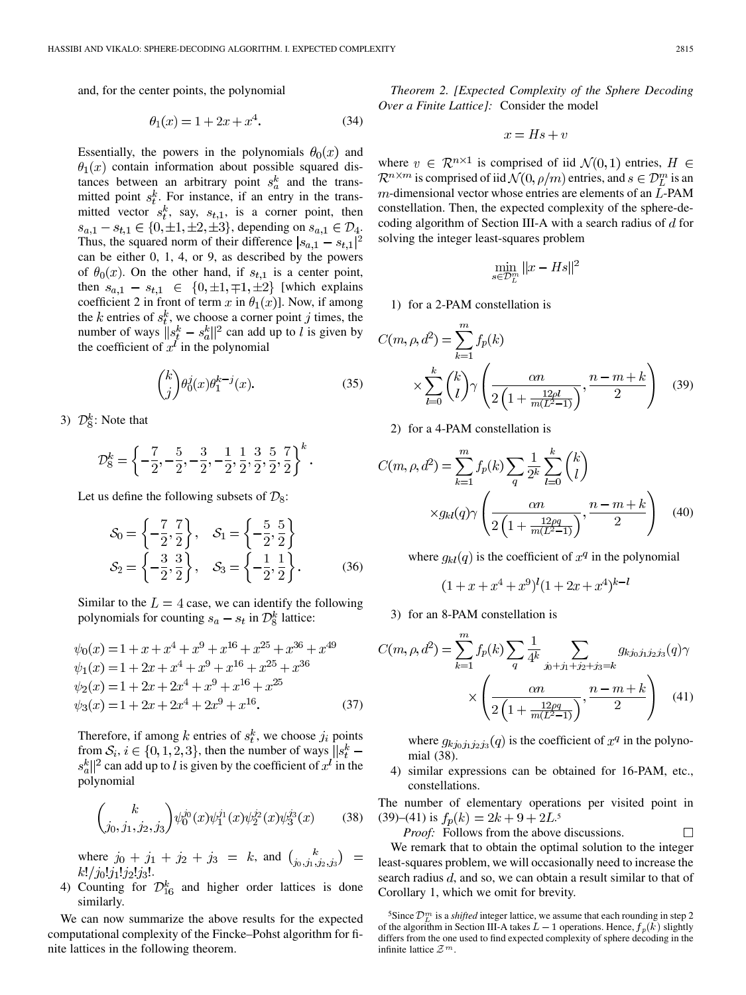and, for the center points, the polynomial

$$
\theta_1(x) = 1 + 2x + x^4. \tag{34}
$$

Essentially, the powers in the polynomials  $\theta_0(x)$  and  $\theta_1(x)$  contain information about possible squared distances between an arbitrary point  $s_a^k$  and the transmitted point  $s_t^k$ . For instance, if an entry in the transmitted vector  $s_t^k$ , say,  $s_{t,1}$ , is a corner point, then  $s_{a,1} - s_{t,1} \in \{0, \pm 1, \pm 2, \pm 3\}$ , depending on  $s_{a,1} \in \mathcal{D}_4$ . Thus, the squared norm of their difference  $|s_{a,1} - s_{t,1}|^2$ can be either 0, 1, 4, or 9, as described by the powers of  $\theta_0(x)$ . On the other hand, if  $s_{t,1}$  is a center point, then  $s_{a,1} - s_{t,1} \in \{0, \pm 1, \mp 1, \pm 2\}$  [which explains coefficient 2 in front of term x in  $\theta_1(x)$ . Now, if among the k entries of  $s_t^k$ , we choose a corner point j times, the number of ways  $||s_t^k - s_a^k||^2$  can add up to l is given by the coefficient of  $x<sup>t</sup>$  in the polynomial

$$
\binom{k}{j}\theta_0^j(x)\theta_1^{k-j}(x). \tag{35}
$$

3)  $\mathcal{D}_8^k$ : Note that

$$
\mathcal{D}_8^k = \left\{ -\frac{7}{2}, -\frac{5}{2}, -\frac{3}{2}, -\frac{1}{2}, \frac{1}{2}, \frac{3}{2}, \frac{5}{2}, \frac{7}{2} \right\}^k.
$$

Let us define the following subsets of  $\mathcal{D}_8$ :

$$
S_0 = \left\{ -\frac{7}{2}, \frac{7}{2} \right\}, \quad S_1 = \left\{ -\frac{5}{2}, \frac{5}{2} \right\}
$$
  

$$
S_2 = \left\{ -\frac{3}{2}, \frac{3}{2} \right\}, \quad S_3 = \left\{ -\frac{1}{2}, \frac{1}{2} \right\}.
$$
 (36)

Similar to the  $L = 4$  case, we can identify the following polynomials for counting  $s_a - s_t$  in  $\mathcal{D}_8^k$  lattice:

 $\sim$   $\sim$   $\sim$   $\sim$ 

$$
\psi_0(x) = 1 + x + x^4 + x^9 + x^{16} + x^{25} + x^{36} + x^{49}
$$
  
\n
$$
\psi_1(x) = 1 + 2x + x^4 + x^9 + x^{16} + x^{25} + x^{36}
$$
  
\n
$$
\psi_2(x) = 1 + 2x + 2x^4 + x^9 + x^{16} + x^{25}
$$
  
\n
$$
\psi_3(x) = 1 + 2x + 2x^4 + 2x^9 + x^{16}.
$$
\n(37)

Therefore, if among k entries of  $s_t^k$ , we choose  $j_i$  points from  $S_i$ ,  $i \in \{0, 1, 2, 3\}$ , then the number of ways  $||s_t^k$  $s_a^k$ ||<sup>2</sup> can add up to *l* is given by the coefficient of  $x^l$  in the polynomial

$$
\binom{k}{j_0, j_1, j_2, j_3} \psi_0^{j_0}(x) \psi_1^{j_1}(x) \psi_2^{j_2}(x) \psi_3^{j_3}(x) \tag{38}
$$

where  $j_0 + j_1 + j_2 + j_3 = k$ , and  $\binom{k}{j_0, j_1, j_2, j_3}$  $k!/j_0!j_1!j_2!j_3!$ .

4) Counting for  $\mathcal{D}_{16}^k$  and higher order lattices is done similarly.

We can now summarize the above results for the expected computational complexity of the Fincke–Pohst algorithm for finite lattices in the following theorem.

*Theorem 2. [Expected Complexity of the Sphere Decoding Over a Finite Lattice]:* Consider the model

$$
x = Hs + v
$$

where  $v \in \mathbb{R}^{n \times 1}$  is comprised of iid  $\mathcal{N}(0,1)$  entries,  $H \in$  $\mathcal{R}^{n \times m}$  is comprised of iid  $\mathcal{N}(0, \rho/m)$  entries, and  $s \in \mathcal{D}_L^m$  is an  $m$ -dimensional vector whose entries are elements of an  $L$ -PAM constellation. Then, the expected complexity of the sphere-decoding algorithm of Section III-A with a search radius of  $d$  for solving the integer least-squares problem

$$
\min_{s \in \mathcal{D}_L^m} ||x - Hs||^2
$$

1) for a 2-PAM constellation is

$$
C(m, \rho, d^2) = \sum_{k=1}^{m} f_p(k)
$$
  
 
$$
\times \sum_{l=0}^{k} {k \choose l} \gamma \left( \frac{\alpha n}{2 \left( 1 + \frac{12 \rho l}{m(L^2 - 1)} \right)}, \frac{n - m + k}{2} \right)
$$
 (39)

2) for a 4-PAM constellation is

$$
C(m, \rho, d^2) = \sum_{k=1}^{m} f_p(k) \sum_{q} \frac{1}{2^k} \sum_{l=0}^{k} {k \choose l}
$$

$$
\times g_{kl}(q) \gamma \left(\frac{\alpha n}{2\left(1 + \frac{12\rho q}{m(L^2 - 1)}\right)}, \frac{n - m + k}{2}\right) \quad (40)
$$

where  $q_{kl}(q)$  is the coefficient of  $x^q$  in the polynomial

$$
(1+x+x^4+x^9)^l(1+2x+x^4)^{k-l}
$$

3) for an 8-PAM constellation is

$$
C(m, \rho, d^2) = \sum_{k=1}^{m} f_p(k) \sum_{q} \frac{1}{4^k} \sum_{j_0+j_1+j_2+j_3=k} g_{kj_0j_1j_2j_3}(q)\gamma
$$

$$
\times \left(\frac{\alpha n}{2\left(1 + \frac{12\rho q}{m(L^2 - 1)}\right)}, \frac{n-m+k}{2}\right) \quad (41)
$$

where  $g_{kj_0j_1j_2j_3}(q)$  is the coefficient of  $x^q$  in the polynomial (38).

4) similar expressions can be obtained for 16-PAM, etc., constellations.

The number of elementary operations per visited point in (39)–(41) is  $f_p(k) = 2k + 9 + 2L$ .<sup>5</sup>

 $\Box$ 

*Proof:* Follows from the above discussions.

We remark that to obtain the optimal solution to the integer least-squares problem, we will occasionally need to increase the search radius  $d$ , and so, we can obtain a result similar to that of Corollary 1, which we omit for brevity.

<sup>&</sup>lt;sup>5</sup>Since  $\mathcal{D}_{L}^{m}$  is a *shifted* integer lattice, we assume that each rounding in step 2 of the algorithm in Section III-A takes  $L - 1$  operations. Hence,  $f_p(k)$  slightly differs from the one used to find expected complexity of sphere decoding in the infinite lattice  $\mathcal{Z}^m$ .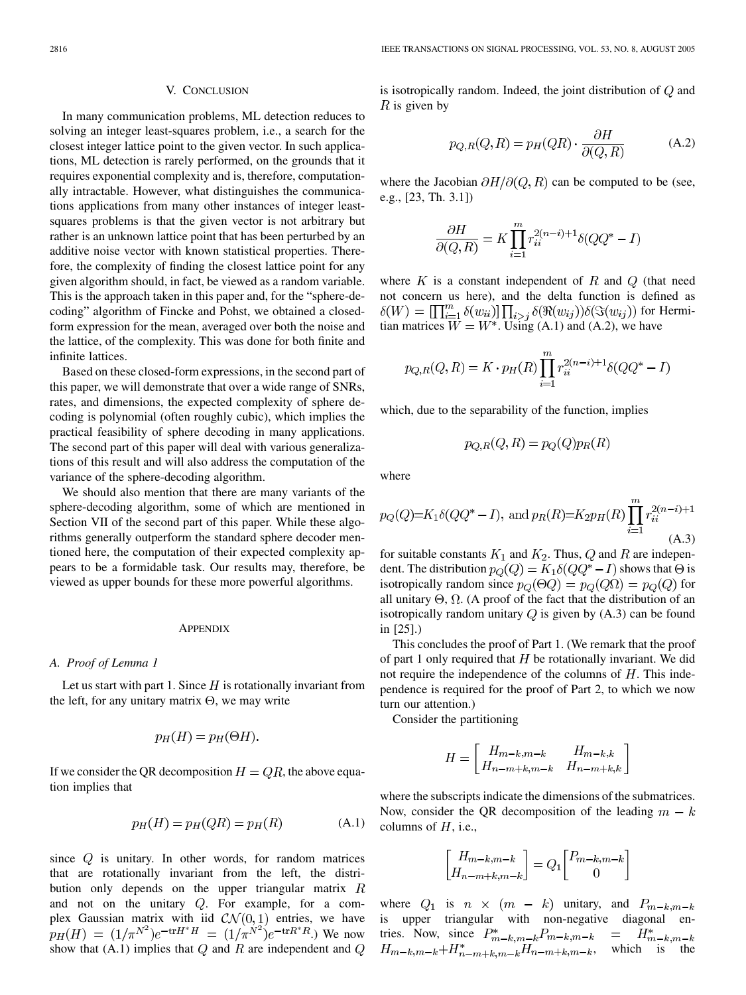## V. CONCLUSION

In many communication problems, ML detection reduces to solving an integer least-squares problem, i.e., a search for the closest integer lattice point to the given vector. In such applications, ML detection is rarely performed, on the grounds that it requires exponential complexity and is, therefore, computationally intractable. However, what distinguishes the communications applications from many other instances of integer leastsquares problems is that the given vector is not arbitrary but rather is an unknown lattice point that has been perturbed by an additive noise vector with known statistical properties. Therefore, the complexity of finding the closest lattice point for any given algorithm should, in fact, be viewed as a random variable. This is the approach taken in this paper and, for the "sphere-decoding" algorithm of Fincke and Pohst, we obtained a closedform expression for the mean, averaged over both the noise and the lattice, of the complexity. This was done for both finite and infinite lattices.

Based on these closed-form expressions, in the second part of this paper, we will demonstrate that over a wide range of SNRs, rates, and dimensions, the expected complexity of sphere decoding is polynomial (often roughly cubic), which implies the practical feasibility of sphere decoding in many applications. The second part of this paper will deal with various generalizations of this result and will also address the computation of the variance of the sphere-decoding algorithm.

We should also mention that there are many variants of the sphere-decoding algorithm, some of which are mentioned in Section VII of the second part of this paper. While these algorithms generally outperform the standard sphere decoder mentioned here, the computation of their expected complexity appears to be a formidable task. Our results may, therefore, be viewed as upper bounds for these more powerful algorithms.

#### APPENDIX

## *A. Proof of Lemma 1*

Let us start with part 1. Since  $H$  is rotationally invariant from the left, for any unitary matrix  $\Theta$ , we may write

$$
p_H(H) = p_H(\Theta H).
$$

If we consider the QR decomposition  $H = QR$ , the above equation implies that

$$
p_H(H) = p_H(QR) = p_H(R)
$$
\n(A.1)

since  $Q$  is unitary. In other words, for random matrices that are rotationally invariant from the left, the distribution only depends on the upper triangular matrix  $R$ and not on the unitary  $Q$ . For example, for a complex Gaussian matrix with iid  $CN(0,1)$  entries, we have  $p_H(H) = (1/\pi^{N^2})e^{-\text{tr}H^*H} = (1/\pi^{N^2})e^{-\text{tr}R^*R}$ .) We now show that  $(A.1)$  implies that  $Q$  and  $R$  are independent and  $Q$  is isotropically random. Indeed, the joint distribution of  $Q$  and  $R$  is given by

$$
p_{Q,R}(Q,R) = p_H(QR) \cdot \frac{\partial H}{\partial(Q,R)} \tag{A.2}
$$

where the Jacobian  $\partial H/\partial(Q, R)$  can be computed to be (see, e.g., [[23,](#page-12-0) Th. 3.1])

$$
\frac{\partial H}{\partial (Q,R)} = K \prod_{i=1}^{m} r_{ii}^{2(n-i)+1} \delta(QQ^* - I)
$$

where K is a constant independent of R and Q (that need not concern us here), and the delta function is defined as for Hermitian matrices  $W = W^*$ . Using (A.1) and (A.2), we have

$$
p_{Q,R}(Q,R) = K \cdot p_H(R) \prod_{i=1}^{m} r_{ii}^{2(n-i)+1} \delta(QQ^* - I)
$$

which, due to the separability of the function, implies

$$
p_{Q,R}(Q,R) = p_Q(Q)p_R(R)
$$

where

$$
p_Q(Q)=K_1\delta(QQ^*-I)
$$
, and  $p_R(R)=K_2p_H(R)\prod_{i=1}^m r_{ii}^{2(n-i)+1}$   
(A.3)

for suitable constants  $K_1$  and  $K_2$ . Thus, Q and R are independent. The distribution  $p_Q(Q) = K_1 \delta(QQ^* - I)$  shows that  $\Theta$  is isotropically random since  $p_Q(\Theta Q) = p_Q(Q) = p_Q(Q)$  for all unitary  $\Theta$ ,  $\Omega$ . (A proof of the fact that the distribution of an isotropically random unitary  $Q$  is given by (A.3) can be found in [[25\]](#page-12-0).)

This concludes the proof of Part 1. (We remark that the proof of part 1 only required that  $H$  be rotationally invariant. We did not require the independence of the columns of  $H$ . This independence is required for the proof of Part 2, to which we now turn our attention.)

Consider the partitioning

$$
H = \begin{bmatrix} H_{m-k,m-k} & H_{m-k,k} \\ H_{n-m+k,m-k} & H_{n-m+k,k} \end{bmatrix}
$$

where the subscripts indicate the dimensions of the submatrices. Now, consider the QR decomposition of the leading  $m - k$ columns of  $H$ , i.e.,

$$
\begin{bmatrix} H_{m-k,m-k} \\ H_{n-m+k,m-k} \end{bmatrix} = Q_1 \begin{bmatrix} P_{m-k,m-k} \\ 0 \end{bmatrix}
$$

where  $Q_1$  is  $n \times (m - k)$  unitary, and  $P_{m-k,m-k}$ is upper triangular with non-negative diagonal entries. Now, since , which is the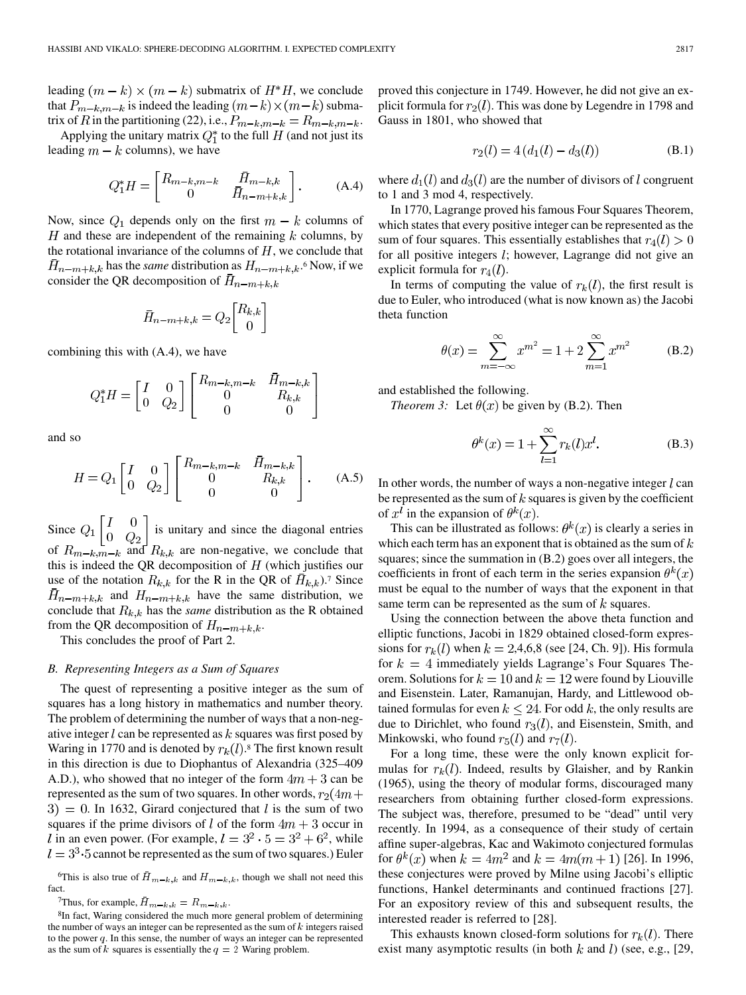leading  $(m - k) \times (m - k)$  submatrix of  $H^*H$ , we conclude that  $P_{m-k,m-k}$  is indeed the leading  $(m-k) \times (m-k)$  submatrix of R in the partitioning (22), i.e.,  $P_{m-k,m-k} = R_{m-k,m-k}$ .

Applying the unitary matrix  $Q_1^*$  to the full H (and not just its leading  $m - k$  columns), we have

$$
Q_1^* H = \begin{bmatrix} R_{m-k,m-k} & \bar{H}_{m-k,k} \\ 0 & \bar{H}_{n-m+k,k} \end{bmatrix}.
$$
 (A.4)

Now, since  $Q_1$  depends only on the first  $m - k$  columns of  $H$  and these are independent of the remaining  $k$  columns, by the rotational invariance of the columns of  $H$ , we conclude that  $H_{n-m+k,k}$  has the *same* distribution as  $H_{n-m+k,k}$ <sup>6</sup> Now, if we consider the QR decomposition of  $H_{n-m+k,k}$ 

$$
\bar{H}_{n-m+k,k} = Q_2 \begin{bmatrix} R_{k,k} \\ 0 \end{bmatrix}
$$

combining this with (A.4), we have

$$
Q_1^* H = \begin{bmatrix} I & 0 \\ 0 & Q_2 \end{bmatrix} \begin{bmatrix} R_{m-k,m-k} & \bar{H}_{m-k,k} \\ 0 & R_{k,k} \\ 0 & 0 \end{bmatrix}
$$

and so

$$
H = Q_1 \begin{bmatrix} I & 0 \\ 0 & Q_2 \end{bmatrix} \begin{bmatrix} R_{m-k,m-k} & \bar{H}_{m-k,k} \\ 0 & R_{k,k} \\ 0 & 0 \end{bmatrix} .
$$
 (A.5)

Since  $Q_1 \begin{bmatrix} 1 & 0 \\ 0 & 0 \end{bmatrix}$  is unitary and since the diagonal entries of  $R_{m-k,m-k}$  and  $R_{k,k}$  are non-negative, we conclude that this is indeed the QR decomposition of  $H$  (which justifies our use of the notation  $R_{k,k}$  for the R in the QR of  $\bar{H}_{k,k}$ ).<sup>7</sup> Since  $\bar{H}_{n-m+k,k}$  and  $H_{n-m+k,k}$  have the same distribution, we conclude that  $R_{k,k}$  has the *same* distribution as the R obtained from the QR decomposition of  $H_{n-m+k,k}$ .

This concludes the proof of Part 2.

#### *B. Representing Integers as a Sum of Squares*

The quest of representing a positive integer as the sum of squares has a long history in mathematics and number theory. The problem of determining the number of ways that a non-negative integer  $l$  can be represented as  $k$  squares was first posed by Waring in 1770 and is denoted by  $r_k(l)$ .<sup>8</sup> The first known result in this direction is due to Diophantus of Alexandria (325–409 A.D.), who showed that no integer of the form  $4m + 3$  can be represented as the sum of two squares. In other words,  $r_2(4m +$  $.3) = 0$ . In 1632, Girard conjectured that *l* is the sum of two squares if the prime divisors of l of the form  $4m + 3$  occur in l in an even power. (For example,  $l = 3^2 \cdot 5 = 3^2 + 6^2$ , while  $l = 3<sup>3</sup>$  -5 cannot be represented as the sum of two squares.) Euler

<sup>6</sup>This is also true of  $\bar{H}_{m-k,k}$  and  $H_{m-k,k}$ , though we shall not need this fact.

7Thus, for example,  $\bar{H}_{m-k,k} = R_{m-k,k}$ .

8In fact, Waring considered the much more general problem of determining the number of ways an integer can be represented as the sum of  $k$  integers raised to the power  $q$ . In this sense, the number of ways an integer can be represented as the sum of k squares is essentially the  $q = 2$  Waring problem.

proved this conjecture in 1749. However, he did not give an explicit formula for  $r_2(l)$ . This was done by Legendre in 1798 and Gauss in 1801, who showed that

$$
r_2(l) = 4(d_1(l) - d_3(l))
$$
 (B.1)

where  $d_1(l)$  and  $d_3(l)$  are the number of divisors of l congruent to 1 and 3 mod 4, respectively.

In 1770, Lagrange proved his famous Four Squares Theorem, which states that every positive integer can be represented as the sum of four squares. This essentially establishes that  $r_4(l) > 0$ for all positive integers  $l$ ; however, Lagrange did not give an explicit formula for  $r_4(l)$ .

In terms of computing the value of  $r_k(l)$ , the first result is due to Euler, who introduced (what is now known as) the Jacobi theta function

$$
\theta(x) = \sum_{m = -\infty}^{\infty} x^{m^2} = 1 + 2 \sum_{m=1}^{\infty} x^{m^2}
$$
 (B.2)

and established the following.

*Theorem 3:* Let  $\theta(x)$  be given by (B.2). Then

$$
\theta^{k}(x) = 1 + \sum_{l=1}^{\infty} r_{k}(l)x^{l}.
$$
 (B.3)

In other words, the number of ways a non-negative integer  $l$  can be represented as the sum of  $k$  squares is given by the coefficient of  $x^{l}$  in the expansion of  $\theta^{k}(x)$ .

This can be illustrated as follows:  $\theta^k(x)$  is clearly a series in which each term has an exponent that is obtained as the sum of  $k$ squares; since the summation in (B.2) goes over all integers, the coefficients in front of each term in the series expansion  $\theta^k(x)$ must be equal to the number of ways that the exponent in that same term can be represented as the sum of  $k$  squares.

Using the connection between the above theta function and elliptic functions, Jacobi in 1829 obtained closed-form expressions for  $r_k(l)$  when  $k = 2,4,6,8$  (see [\[24](#page-12-0), Ch. 9]). His formula for  $k = 4$  immediately yields Lagrange's Four Squares Theorem. Solutions for  $k = 10$  and  $k = 12$  were found by Liouville and Eisenstein. Later, Ramanujan, Hardy, and Littlewood obtained formulas for even  $k \leq 24$ . For odd k, the only results are due to Dirichlet, who found  $r_3(l)$ , and Eisenstein, Smith, and Minkowski, who found  $r_5(l)$  and  $r_7(l)$ .

For a long time, these were the only known explicit formulas for  $r_k(l)$ . Indeed, results by Glaisher, and by Rankin (1965), using the theory of modular forms, discouraged many researchers from obtaining further closed-form expressions. The subject was, therefore, presumed to be "dead" until very recently. In 1994, as a consequence of their study of certain affine super-algebras, Kac and Wakimoto conjectured formulas for  $\theta^{k}(x)$  when  $k = 4m^{2}$  and  $k = 4m(m + 1)$  [[26\]](#page-12-0). In 1996, these conjectures were proved by Milne using Jacobi's elliptic functions, Hankel determinants and continued fractions [\[27](#page-12-0)]. For an expository review of this and subsequent results, the interested reader is referred to [[28\]](#page-12-0).

This exhausts known closed-form solutions for  $r_k(l)$ . There exist many asymptotic results (in both  $k$  and  $l$ ) (see, e.g., [[29,](#page-12-0)